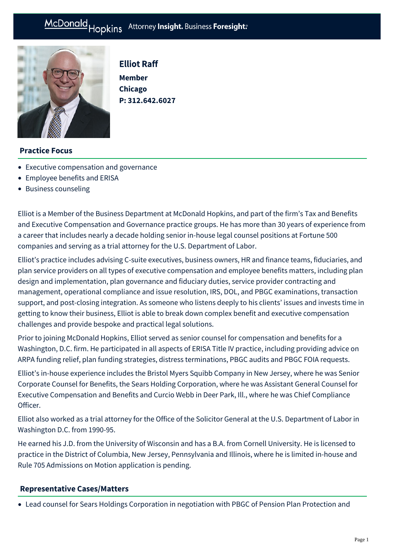# McDonald Hopkins Attorney Insight. Business Foresight:



Elliot Raff

**Member Chicago P: [312.642.6027](tel:312.642.6027)**

## **Practice Focus**

- [Executive compensation and governance](https://mcdonaldhopkins.com/Expertise/Tax-and-benefits/Executive-compensation-and-governance)
- [Employee benefits and ERISA](https://mcdonaldhopkins.com/Expertise/Tax-and-benefits/Employee-benefits-and-ERISA)
- [Business counseling](https://mcdonaldhopkins.com/Expertise/Business-counseling)

Elliot is a Member of the Business Department at McDonald Hopkins, and part of the firm's Tax and Benefits and Executive Compensation and Governance practice groups. He has more than 30 years of experience from a career that includes nearly a decade holding senior in-house legal counsel positions at Fortune 500 companies and serving as a trial attorney for the U.S. Department of Labor.

Elliot's practice includes advising C-suite executives, business owners, HR and finance teams, fiduciaries, and plan service providers on all types of executive compensation and employee benefits matters, including plan design and implementation, plan governance and fiduciary duties, service provider contracting and management, operational compliance and issue resolution, IRS, DOL, and PBGC examinations, transaction support, and post-closing integration. As someone who listens deeply to his clients' issues and invests time in getting to know their business, Elliot is able to break down complex benefit and executive compensation challenges and provide bespoke and practical legal solutions.

Prior to joining McDonald Hopkins, Elliot served as senior counsel for compensation and benefits for a Washington, D.C. firm. He participated in all aspects of ERISA Title IV practice, including providing advice on ARPA funding relief, plan funding strategies, distress terminations, PBGC audits and PBGC FOIA requests.

Elliot's in-house experience includes the Bristol Myers Squibb Company in New Jersey, where he was Senior Corporate Counsel for Benefits, the Sears Holding Corporation, where he was Assistant General Counsel for Executive Compensation and Benefits and Curcio Webb in Deer Park, Ill., where he was Chief Compliance Officer.

Elliot also worked as a trial attorney for the Office of the Solicitor General at the U.S. Department of Labor in Washington D.C. from 1990-95.

He earned his J.D. from the University of Wisconsin and has a B.A. from Cornell University. He is licensed to practice in the District of Columbia, New Jersey, Pennsylvania and Illinois, where he is limited in-house and Rule 705 Admissions on Motion application is pending.

#### **[Representative Cases/Matters](#page-0-0)**

<span id="page-0-0"></span>Lead counsel for Sears Holdings Corporation in negotiation with PBGC of Pension Plan Protection and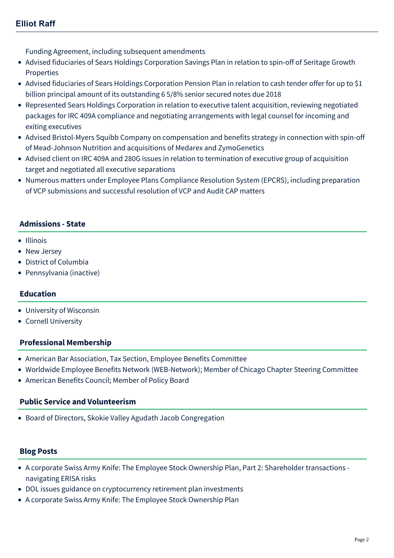Funding Agreement, including subsequent amendments

- Advised fiduciaries of Sears Holdings Corporation Savings Plan in relation to spin-off of Seritage Growth Properties
- Advised fiduciaries of Sears Holdings Corporation Pension Plan in relation to cash tender offer for up to \$1 billion principal amount of its outstanding 6 5/8% senior secured notes due 2018
- Represented Sears Holdings Corporation in relation to executive talent acquisition, reviewing negotiated packages for IRC 409A compliance and negotiating arrangements with legal counsel for incoming and exiting executives
- Advised Bristol-Myers Squibb Company on compensation and benefits strategy in connection with spin-off of Mead-Johnson Nutrition and acquisitions of Medarex and ZymoGenetics
- Advised client on IRC 409A and 280G issues in relation to termination of executive group of acquisition target and negotiated all executive separations
- Numerous matters under Employee Plans Compliance Resolution System (EPCRS), including preparation of VCP submissions and successful resolution of VCP and Audit CAP matters

### **Admissions - State**

- Illinois
- New Jersey
- District of Columbia
- Pennsylvania (inactive)

#### **Education**

- University of Wisconsin
- Cornell University

#### **Professional Membership**

- American Bar Association, Tax Section, Employee Benefits Committee
- Worldwide Employee Benefits Network (WEB-Network); Member of Chicago Chapter Steering Committee
- American Benefits Council; Member of Policy Board

#### **Public Service and Volunteerism**

Board of Directors, Skokie Valley Agudath Jacob Congregation

#### **Blog Posts**

- [A corporate Swiss Army Knife: The Employee Stock Ownership Plan, Part 2: Shareholder transactions](https://mcdonaldhopkins.com/Insights/June-2022/ESOP-ERISA-risks-shareholder-transactions)  navigating ERISA risks
- [DOL issues guidance on cryptocurrency retirement plan investments](https://mcdonaldhopkins.com/Insights/April-2022/Cryptocurrency-retirement-investments)
- [A corporate Swiss Army Knife: The Employee Stock Ownership Plan](https://mcdonaldhopkins.com/Insights/April-2022/Introduction-to-ESOPs-and-uses)